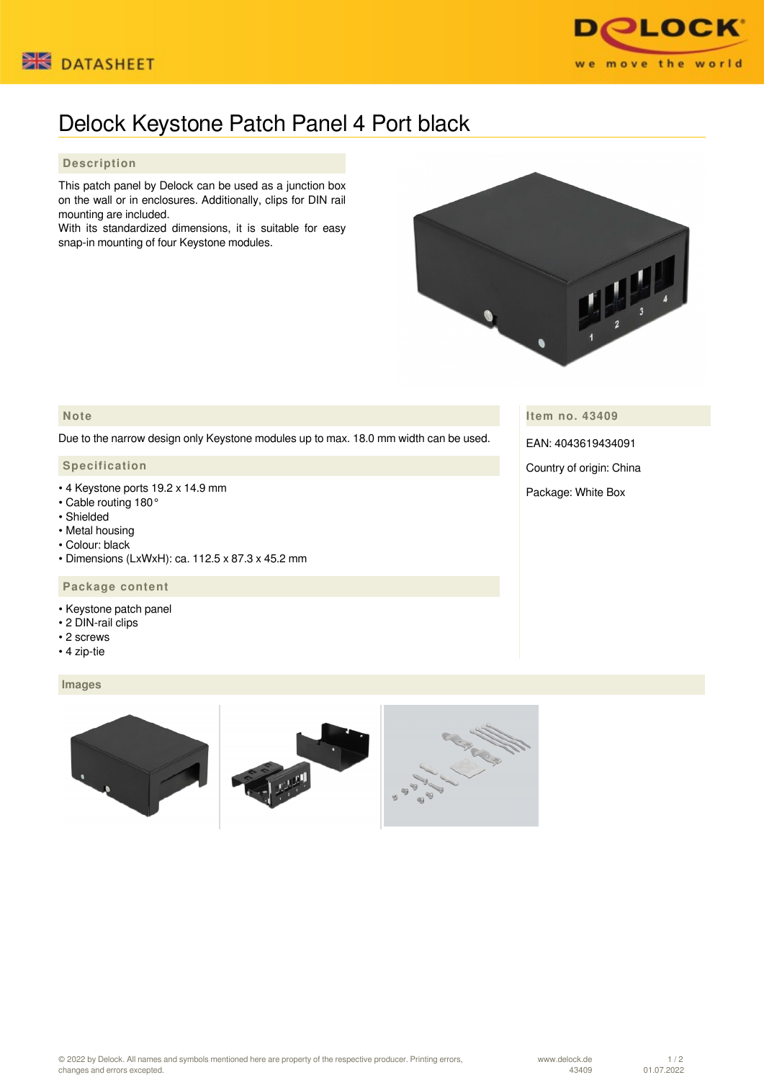



# Delock Keystone Patch Panel 4 Port black

## **Description**

This patch panel by Delock can be used as a junction box on the wall or in enclosures. Additionally, clips for DIN rail mounting are included.

With its standardized dimensions, it is suitable for easy snap-in mounting of four Keystone modules.



## **Note**

Due to the narrow design only Keystone modules up to max. 18.0 mm width can be used.

### **Specification**

- 4 Keystone ports 19.2 x 14.9 mm
- Cable routing 180°
- Shielded
- Metal housing
- Colour: black
- Dimensions (LxWxH): ca. 112.5 x 87.3 x 45.2 mm

## **Package content**

- Keystone patch panel
- 2 DIN-rail clips
- 2 screws
- 4 zip-tie

#### **Images**



**Item no. 43409**

EAN: 4043619434091

Country of origin: China

Package: White Box